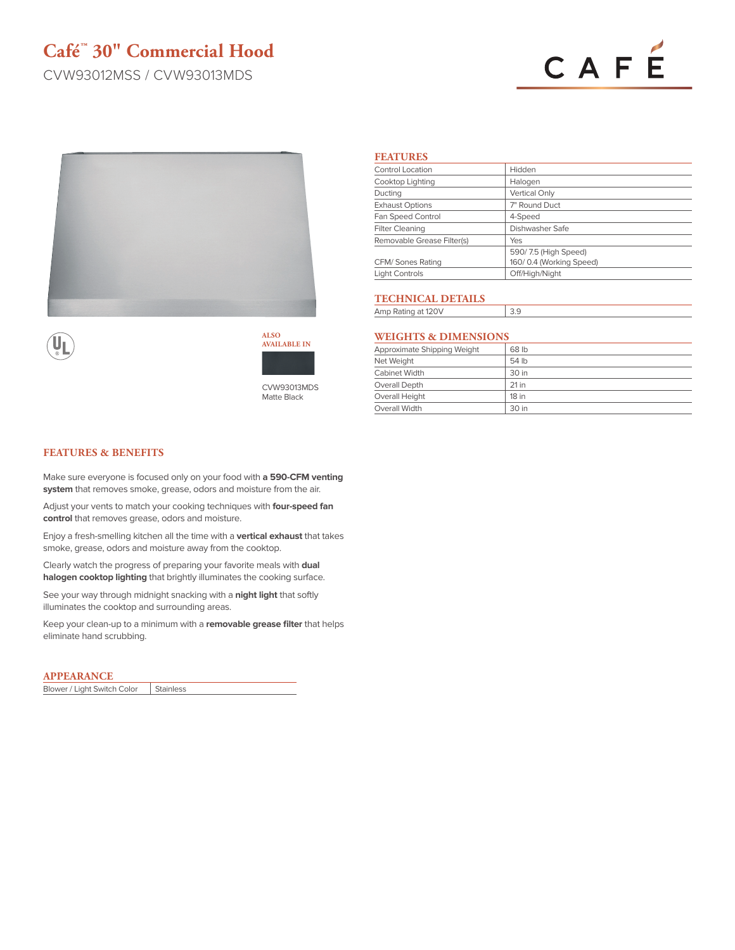# **Café™ 30" Commercial Hood**

CVW93012MSS / CVW93013MDS

# CAFÉ





**ALSO AVAILABLE IN**

CVW93013MDS Matte Black

## **FEATURES**

| Control Location           | Hidden                  |
|----------------------------|-------------------------|
| Cooktop Lighting           | Halogen                 |
| Ducting                    | <b>Vertical Only</b>    |
| <b>Exhaust Options</b>     | 7" Round Duct           |
| Fan Speed Control          | 4-Speed                 |
| <b>Filter Cleaning</b>     | Dishwasher Safe         |
| Removable Grease Filter(s) | Yes                     |
|                            | 590/7.5 (High Speed)    |
| CFM/ Sones Rating          | 160/0.4 (Working Speed) |
| <b>Light Controls</b>      | Off/High/Night          |

## **TECHNICAL DETAILS**

Amp Rating at 120V 3.9

## **WEIGHTS & DIMENSIONS**

| Approximate Shipping Weight | 68 lb   |
|-----------------------------|---------|
| Net Weight                  | 54 lb   |
| Cabinet Width               | 30 in   |
| Overall Depth               | $21$ in |
| Overall Height              | 18 in   |
| Overall Width               | 30 in   |

### **FEATURES & BENEFITS**

Make sure everyone is focused only on your food with **a 590-CFM venting system** that removes smoke, grease, odors and moisture from the air.

Adjust your vents to match your cooking techniques with **four-speed fan control** that removes grease, odors and moisture.

Enjoy a fresh-smelling kitchen all the time with a **vertical exhaust** that takes smoke, grease, odors and moisture away from the cooktop.

Clearly watch the progress of preparing your favorite meals with **dual halogen cooktop lighting** that brightly illuminates the cooking surface.

See your way through midnight snacking with a **night light** that softly illuminates the cooktop and surrounding areas.

Keep your clean-up to a minimum with a **removable grease filter** that helps eliminate hand scrubbing.

#### **APPEARANCE**

Blower / Light Switch Color | Stainless